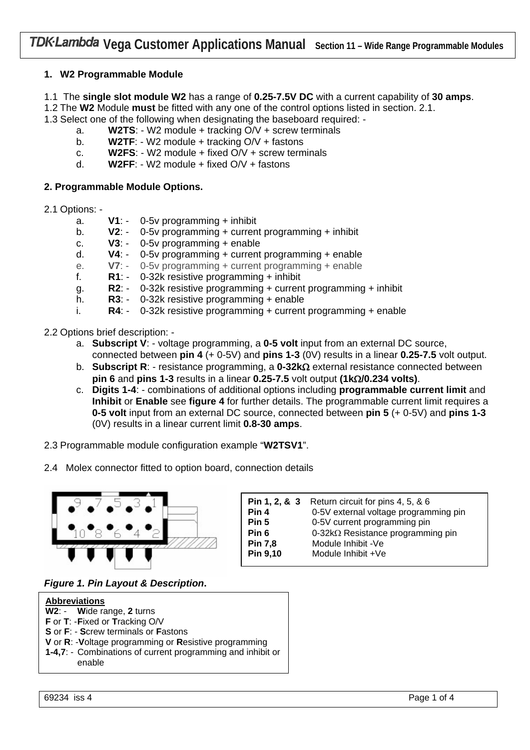# **1. W2 Programmable Module**

1.1 The **single slot module W2** has a range of **0.25-7.5V DC** with a current capability of **30 amps**.

1.2 The **W2** Module **must** be fitted with any one of the control options listed in section. 2.1.

1.3 Select one of the following when designating the baseboard required: -

- a. **W2TS**: W2 module + tracking O/V + screw terminals
- b. **W2TF**: W2 module + tracking O/V + fastons
- c. **W2FS**: W2 module + fixed O/V + screw terminals
- d. **W2FF**: W2 module + fixed O/V + fastons

## **2. Programmable Module Options.**

- 2.1 Options:
	- a. **V1**: 0-5v programming + inhibit
	- b. **V2**: -0-5v programming + current programming + inhibit
	- c. **V3**: 0-5v programming + enable
	- d. **V4**: 0-5v programming + current programming + enable
	- e. **V7**: 0-5v programming + current programming + enable
	- f. **R1**: 0-32k resistive programming + inhibit
	- g. **R2**: 0-32k resistive programming + current programming + inhibit
	- h. **R3**: 0-32k resistive programming + enable
	- i. **R4**: 0-32k resistive programming + current programming + enable
- 2.2 Options brief description:
	- a. **Subscript V**: voltage programming, a **0-5 volt** input from an external DC source, connected between **pin 4** (+ 0-5V) and **pins 1-3** (0V) results in a linear **0.25-7.5** volt output.
	- b. **Subscript R**: resistance programming, a **0-32k**Ω external resistance connected between **pin 6** and **pins 1-3** results in a linear **0.25-7.5** volt output **(1k**Ω**/0.234 volts)**.
	- c. **Digits 1-4**: combinations of additional options including **programmable current limit** and **Inhibit** or **Enable** see **figure 4** for further details. The programmable current limit requires a **0-5 volt** input from an external DC source, connected between **pin 5** (+ 0-5V) and **pins 1-3** (0V) results in a linear current limit **0.8-30 amps**.
- 2.3 Programmable module configuration example "**W2TSV1**".
- 2.4 Molex connector fitted to option board, connection details



| Pin 1, 2, & 3 | Return circuit for pins 4, 5, & 6         |
|---------------|-------------------------------------------|
| Pin 4         | 0-5V external voltage programming pin     |
| Pin 5         | 0-5V current programming pin              |
| Pin 6         | 0-32 $k\Omega$ Resistance programming pin |
| Pin 7,8       | Module Inhibit -Ve                        |
| Pin 9,10      | Module Inhibit +Ve                        |

*Figure 1. Pin Layout & Description***.** 

| <b>Abbreviations</b>                                                  |  |
|-----------------------------------------------------------------------|--|
| W2: - Wide range, 2 turns                                             |  |
| F or T: - Fixed or Tracking O/V                                       |  |
| S or F: - Screw terminals or Fastons                                  |  |
| V or R: - Voltage programming or Resistive programming                |  |
| 1-4,7: - Combinations of current programming and inhibit or<br>enable |  |
|                                                                       |  |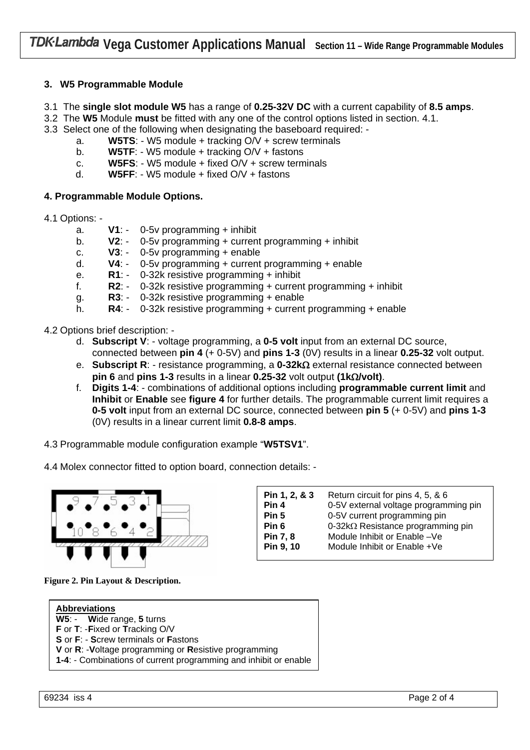# **3. W5 Programmable Module**

3.1 The **single slot module W5** has a range of **0.25-32V DC** with a current capability of **8.5 amps**.

3.2 The **W5** Module **must** be fitted with any one of the control options listed in section. 4.1.

- 3.3 Select one of the following when designating the baseboard required:
	- a. **W5TS**: W5 module + tracking O/V + screw terminals
	- b. **W5TF**: W5 module + tracking O/V + fastons
	- c. **W5FS**: W5 module + fixed O/V + screw terminals
	- d. **W5FF**: W5 module + fixed O/V + fastons

### **4. Programmable Module Options.**

- 4.1 Options:
	- a. **V1**: 0-5v programming + inhibit
	- b. **V2**: -0-5v programming + current programming + inhibit
	- c. **V3**: 0-5v programming + enable
	- d. **V4**: 0-5v programming + current programming + enable
	- e. **R1**: 0-32k resistive programming + inhibit
	- f. **R2**: 0-32k resistive programming + current programming + inhibit
	- g. **R3**: 0-32k resistive programming + enable
	- h. **R4**: 0-32k resistive programming + current programming + enable
- 4.2 Options brief description:
	- d. **Subscript V**: voltage programming, a **0-5 volt** input from an external DC source, connected between **pin 4** (+ 0-5V) and **pins 1-3** (0V) results in a linear **0.25-32** volt output.
	- e. **Subscript R**: resistance programming, a **0-32k**Ω external resistance connected between **pin 6** and **pins 1-3** results in a linear **0.25-32** volt output **(1k**Ω**/volt)**.
	- f. **Digits 1-4**: combinations of additional options including **programmable current limit** and **Inhibit** or **Enable** see **figure 4** for further details. The programmable current limit requires a **0-5 volt** input from an external DC source, connected between **pin 5** (+ 0-5V) and **pins 1-3** (0V) results in a linear current limit **0.8-8 amps**.

4.3 Programmable module configuration example "**W5TSV1**".

4.4 Molex connector fitted to option board, connection details: -



| Pin 1, 2, & 3    | Return circuit for pins 4, 5, & 6         |
|------------------|-------------------------------------------|
| Pin 4            | 0-5V external voltage programming pin     |
| Pin 5            | 0-5V current programming pin              |
| Pin <sub>6</sub> | 0-32 $k\Omega$ Resistance programming pin |
| Pin 7, 8         | Module Inhibit or Enable -Ve              |
| Pin 9, 10        | Module Inhibit or Enable +Ve              |

**Figure 2. Pin Layout & Description.**

| <b>Abbreviations</b>                                             |  |  |
|------------------------------------------------------------------|--|--|
| W5: - Wide range, 5 turns                                        |  |  |
| F or T: - Fixed or Tracking O/V                                  |  |  |
| S or F: - Screw terminals or Fastons                             |  |  |
| V or R: - Voltage programming or Resistive programming           |  |  |
| 1-4: - Combinations of current programming and inhibit or enable |  |  |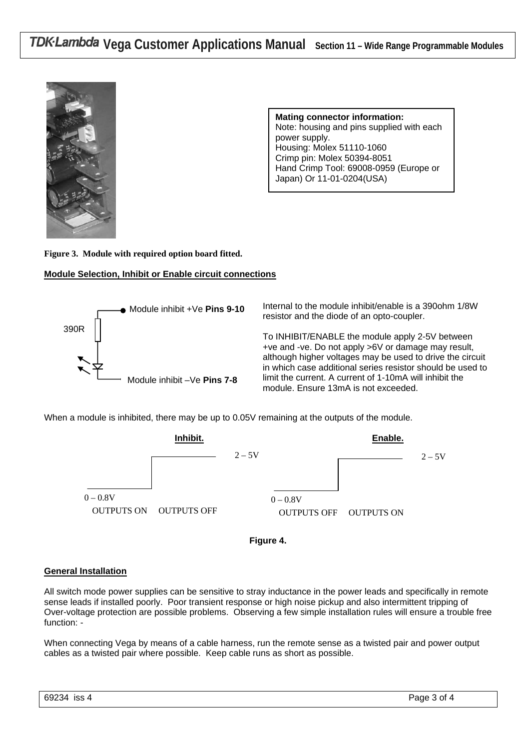

**Mating connector information:**  Note: housing and pins supplied with each power supply. Housing: Molex 51110-1060 Crimp pin: Molex 50394-8051 Hand Crimp Tool: 69008-0959 (Europe or Japan) Or 11-01-0204(USA)

**Figure 3. Module with required option board fitted.** 

### **Module Selection, Inhibit or Enable circuit connections**



Internal to the module inhibit/enable is a 390ohm 1/8W resistor and the diode of an opto-coupler.

To INHIBIT/ENABLE the module apply 2-5V between +ve and -ve. Do not apply >6V or damage may result, although higher voltages may be used to drive the circuit in which case additional series resistor should be used to limit the current. A current of 1-10mA will inhibit the module. Ensure 13mA is not exceeded.

When a module is inhibited, there may be up to 0.05V remaining at the outputs of the module.





#### **General Installation**

All switch mode power supplies can be sensitive to stray inductance in the power leads and specifically in remote sense leads if installed poorly. Poor transient response or high noise pickup and also intermittent tripping of Over-voltage protection are possible problems. Observing a few simple installation rules will ensure a trouble free function: -

When connecting Vega by means of a cable harness, run the remote sense as a twisted pair and power output cables as a twisted pair where possible. Keep cable runs as short as possible.